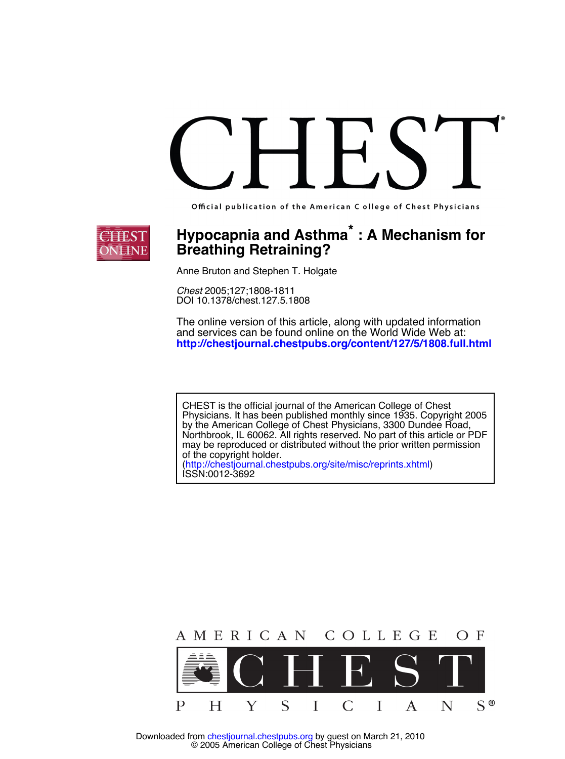Official publication of the American C ollege of Chest Physicians



## **Breathing Retraining?**  ${\sf Hypocapnia}$  and  ${\sf Asthma}^*$  : A Mechanism for

Anne Bruton and Stephen T. Holgate

DOI 10.1378/chest.127.5.1808 *Chest* 2005;127;1808-1811

**http://chestjournal.chestpubs.org/content/127/5/1808.full.html** and services can be found online on the World Wide Web at: The online version of this article, along with updated information

ISSN:0012-3692 [\(http://chestjournal.chestpubs.org/site/misc/reprints.xhtml\)](http://chestjournal.chestpubs.org/site/misc/reprints.xhtml) of the copyright holder. may be reproduced or distributed without the prior written permission Northbrook, IL 60062. All rights reserved. No part of this article or PDF by the American College of Chest Physicians, 3300 Dundee Road, Physicians. It has been published monthly since 1935. Copyright 2005 CHEST is the official journal of the American College of Chest

AMERICAN COLLEGE O F S  $\mathbf{p}$  $S^{\circledR}$ Н Y I  $\mathcal{C}$ I  $\mathsf{A}$ N

 © 2005 American College of Chest Physicians Downloaded from [chestjournal.chestpubs.org](http://chestjournal.chestpubs.org/) by guest on March 21, 2010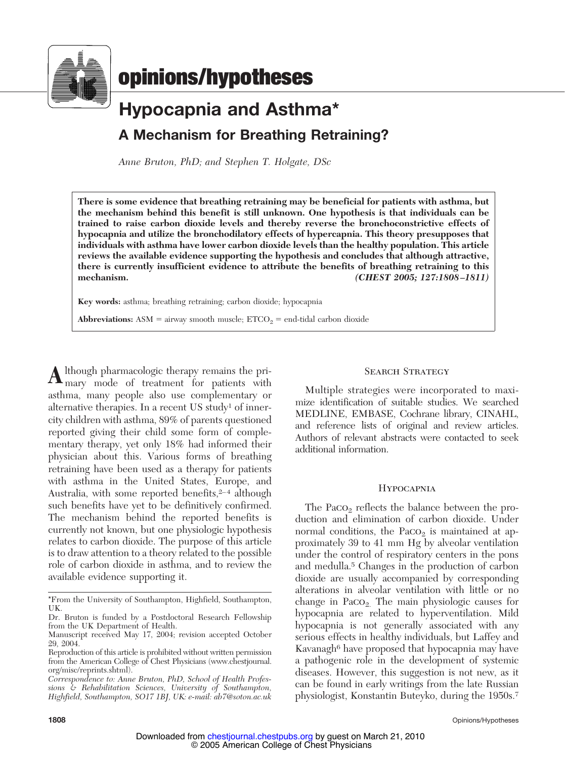

# **Hypocapnia and Asthma\* A Mechanism for Breathing Retraining?**

*Anne Bruton, PhD; and Stephen T. Holgate, DSc*

**There is some evidence that breathing retraining may be beneficial for patients with asthma, but the mechanism behind this benefit is still unknown. One hypothesis is that individuals can be trained to raise carbon dioxide levels and thereby reverse the bronchoconstrictive effects of hypocapnia and utilize the bronchodilatory effects of hypercapnia. This theory presupposes that individuals with asthma have lower carbon dioxide levels than the healthy population. This article reviews the available evidence supporting the hypothesis and concludes that although attractive, there is currently insufficient evidence to attribute the benefits of breathing retraining to this mechanism.** *(CHEST 2005; 127:1808 –1811)*

**Key words:** asthma; breathing retraining; carbon dioxide; hypocapnia

**Abbreviations:** ASM = airway smooth muscle;  $ETCO<sub>2</sub> = end-tidal$  carbon dioxide

**A**lthough pharmacologic therapy remains the pri-<br>mary mode of treatment for patients with asthma, many people also use complementary or alternative therapies. In a recent US study<sup>1</sup> of innercity children with asthma, 89% of parents questioned reported giving their child some form of complementary therapy, yet only 18% had informed their physician about this. Various forms of breathing retraining have been used as a therapy for patients with asthma in the United States, Europe, and Australia, with some reported benefits, $2-4$  although such benefits have yet to be definitively confirmed. The mechanism behind the reported benefits is currently not known, but one physiologic hypothesis relates to carbon dioxide. The purpose of this article is to draw attention to a theory related to the possible role of carbon dioxide in asthma, and to review the available evidence supporting it.

#### SEARCH STRATEGY

Multiple strategies were incorporated to maximize identification of suitable studies. We searched MEDLINE, EMBASE, Cochrane library, CINAHL, and reference lists of original and review articles. Authors of relevant abstracts were contacted to seek additional information.

#### **HYPOCAPNIA**

The  $Paco<sub>2</sub>$  reflects the balance between the production and elimination of carbon dioxide. Under normal conditions, the  $PaCO<sub>2</sub>$  is maintained at approximately 39 to 41 mm Hg by alveolar ventilation under the control of respiratory centers in the pons and medulla.5 Changes in the production of carbon dioxide are usually accompanied by corresponding alterations in alveolar ventilation with little or no change in  $PaCO<sub>2</sub>$ . The main physiologic causes for hypocapnia are related to hyperventilation. Mild hypocapnia is not generally associated with any serious effects in healthy individuals, but Laffey and Kavanagh<sup>6</sup> have proposed that hypocapnia may have a pathogenic role in the development of systemic diseases. However, this suggestion is not new, as it can be found in early writings from the late Russian physiologist, Konstantin Buteyko, during the 1950s.7

<sup>\*</sup>From the University of Southampton, Highfield, Southampton, UK.

Dr. Bruton is funded by a Postdoctoral Research Fellowship from the UK Department of Health.

Manuscript received May 17, 2004; revision accepted October 29, 2004.

Reproduction of this article is prohibited without written permission from the American College of Chest Physicians (www.chestjournal. org/misc/reprints.shtml).

*Correspondence to: Anne Bruton, PhD, School of Health Professions & Rehabilitation Sciences, University of Southampton, Highfield, Southampton, SO17 1BJ, UK: e-mail: ab7@soton.ac.uk*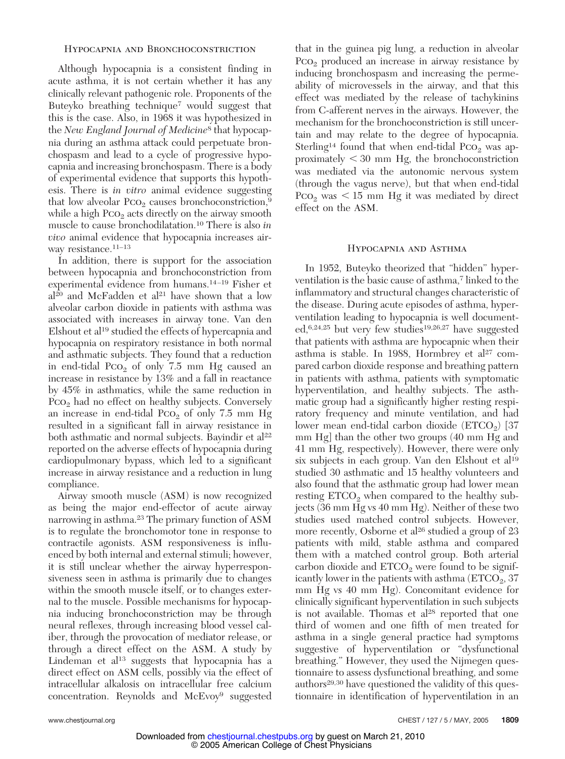#### Hypocapnia and Bronchoconstriction

Although hypocapnia is a consistent finding in acute asthma, it is not certain whether it has any clinically relevant pathogenic role. Proponents of the Buteyko breathing technique7 would suggest that this is the case. Also, in 1968 it was hypothesized in the *New England Journal of Medicine*<sup>8</sup> that hypocapnia during an asthma attack could perpetuate bronchospasm and lead to a cycle of progressive hypocapnia and increasing bronchospasm. There is a body of experimental evidence that supports this hypothesis. There is *in vitro* animal evidence suggesting that low alveolar  $PCO<sub>2</sub>$  causes bronchoconstriction,<sup>9</sup> while a high  $PCO<sub>2</sub>$  acts directly on the airway smooth muscle to cause bronchodilatation.10 There is also *in vivo* animal evidence that hypocapnia increases airway resistance.<sup>11-13</sup>

In addition, there is support for the association between hypocapnia and bronchoconstriction from experimental evidence from humans.14 –19 Fisher et  $al^{20}$  and McFadden et al<sup>21</sup> have shown that a low alveolar carbon dioxide in patients with asthma was associated with increases in airway tone. Van den Elshout et al<sup>19</sup> studied the effects of hypercapnia and hypocapnia on respiratory resistance in both normal and asthmatic subjects. They found that a reduction in end-tidal  $PCO<sub>2</sub>$  of only 7.5 mm Hg caused an increase in resistance by 13% and a fall in reactance by 45% in asthmatics, while the same reduction in  $PCO<sub>2</sub>$  had no effect on healthy subjects. Conversely an increase in end-tidal  $PCO<sub>2</sub>$  of only 7.5 mm Hg resulted in a significant fall in airway resistance in both asthmatic and normal subjects. Bayindir et al<sup>22</sup> reported on the adverse effects of hypocapnia during cardiopulmonary bypass, which led to a significant increase in airway resistance and a reduction in lung compliance.

Airway smooth muscle (ASM) is now recognized as being the major end-effector of acute airway narrowing in asthma.23 The primary function of ASM is to regulate the bronchomotor tone in response to contractile agonists. ASM responsiveness is influenced by both internal and external stimuli; however, it is still unclear whether the airway hyperresponsiveness seen in asthma is primarily due to changes within the smooth muscle itself, or to changes external to the muscle. Possible mechanisms for hypocapnia inducing bronchoconstriction may be through neural reflexes, through increasing blood vessel caliber, through the provocation of mediator release, or through a direct effect on the ASM. A study by Lindeman et  $al<sup>13</sup>$  suggests that hypocapnia has a direct effect on ASM cells, possibly via the effect of intracellular alkalosis on intracellular free calcium concentration. Reynolds and McEvoy<sup>9</sup> suggested

that in the guinea pig lung, a reduction in alveolar  $PCO<sub>2</sub>$  produced an increase in airway resistance by inducing bronchospasm and increasing the permeability of microvessels in the airway, and that this effect was mediated by the release of tachykinins from C-afferent nerves in the airways. However, the mechanism for the bronchoconstriction is still uncertain and may relate to the degree of hypocapnia. Sterling<sup>14</sup> found that when end-tidal  $PCO<sub>2</sub>$  was approximately  $\leq$  30 mm Hg, the bronchoconstriction was mediated via the autonomic nervous system (through the vagus nerve), but that when end-tidal Pco<sub>2</sub> was  $\lt 15$  mm Hg it was mediated by direct effect on the ASM.

#### Hypocapnia and Asthma

In 1952, Buteyko theorized that "hidden" hyperventilation is the basic cause of asthma,<sup>7</sup> linked to the inflammatory and structural changes characteristic of the disease. During acute episodes of asthma, hyperventilation leading to hypocapnia is well documented,6,24,25 but very few studies19,26,27 have suggested that patients with asthma are hypocapnic when their asthma is stable. In 1988, Hormbrey et al<sup>27</sup> compared carbon dioxide response and breathing pattern in patients with asthma, patients with symptomatic hyperventilation, and healthy subjects. The asthmatic group had a significantly higher resting respiratory frequency and minute ventilation, and had lower mean end-tidal carbon dioxide  $(ETCO<sub>2</sub>)$  [37 mm Hg] than the other two groups (40 mm Hg and 41 mm Hg, respectively). However, there were only six subjects in each group. Van den Elshout et al<sup>19</sup> studied 30 asthmatic and 15 healthy volunteers and also found that the asthmatic group had lower mean resting  $ETCO<sub>2</sub>$  when compared to the healthy subjects (36 mm Hg vs 40 mm Hg). Neither of these two studies used matched control subjects. However, more recently, Osborne et al<sup>26</sup> studied a group of 23 patients with mild, stable asthma and compared them with a matched control group. Both arterial carbon dioxide and  $ETCO<sub>2</sub>$  were found to be significantly lower in the patients with asthma  $(ETCO<sub>2</sub>, 37)$ mm Hg vs 40 mm Hg). Concomitant evidence for clinically significant hyperventilation in such subjects is not available. Thomas et  $al^{28}$  reported that one third of women and one fifth of men treated for asthma in a single general practice had symptoms suggestive of hyperventilation or "dysfunctional breathing." However, they used the Nijmegen questionnaire to assess dysfunctional breathing, and some authors<sup>29,30</sup> have questioned the validity of this questionnaire in identification of hyperventilation in an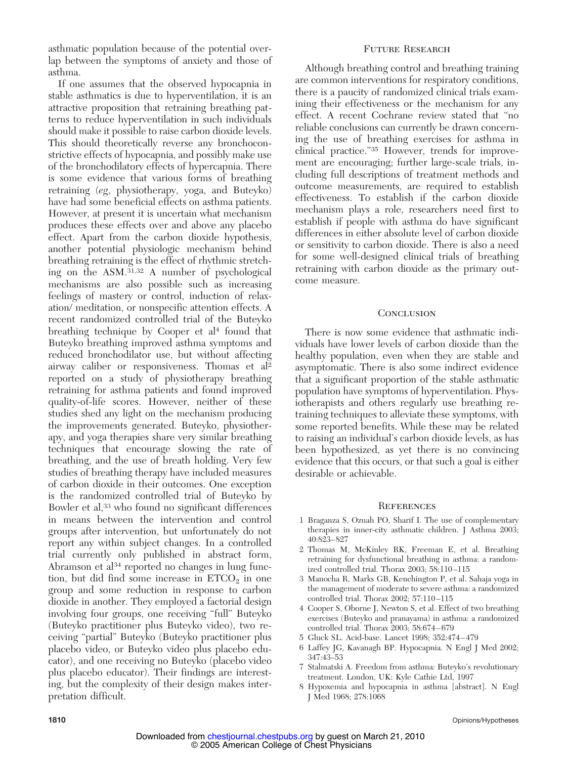asthmatic population because of the potential overlap between the symptoms of anxiety and those of asthma.

If one assumes that the observed hypocapnia in stable asthmatics is due to hyperventilation, it is an attractive proposition that retraining breathing patterns to reduce hyperventilation in such individuals should make it possible to raise carbon dioxide levels. This should theoretically reverse any bronchoconstrictive effects of hypocapnia, and possibly make use of the bronchodilatory effects of hypercapnia. There is some evidence that various forms of breathing retraining (*eg*, physiotherapy, yoga, and Buteyko) have had some beneficial effects on asthma patients. However, at present it is uncertain what mechanism produces these effects over and above any placebo effect. Apart from the carbon dioxide hypothesis, another potential physiologic mechanism behind breathing retraining is the effect of rhythmic stretching on the ASM.31,32 A number of psychological mechanisms are also possible such as increasing feelings of mastery or control, induction of relaxation/ meditation, or nonspecific attention effects. A recent randomized controlled trial of the Buteyko breathing technique by Cooper et al<sup>4</sup> found that Buteyko breathing improved asthma symptoms and reduced bronchodilator use, but without affecting airway caliber or responsiveness. Thomas et al2 reported on a study of physiotherapy breathing retraining for asthma patients and found improved quality-of-life scores. However, neither of these studies shed any light on the mechanism producing the improvements generated. Buteyko, physiotherapy, and yoga therapies share very similar breathing techniques that encourage slowing the rate of breathing, and the use of breath holding. Very few studies of breathing therapy have included measures of carbon dioxide in their outcomes. One exception is the randomized controlled trial of Buteyko by Bowler et al,33 who found no significant differences in means between the intervention and control groups after intervention, but unfortunately do not report any within subject changes. In a controlled trial currently only published in abstract form, Abramson et al<sup>34</sup> reported no changes in lung function, but did find some increase in  $ETCO<sub>2</sub>$  in one group and some reduction in response to carbon dioxide in another. They employed a factorial design involving four groups, one receiving "full" Buteyko (Buteyko practitioner plus Buteyko video), two receiving "partial" Buteyko (Buteyko practitioner plus placebo video, or Buteyko video plus placebo educator), and one receiving no Buteyko (placebo video plus placebo educator). Their findings are interesting, but the complexity of their design makes interpretation difficult.

#### Future Research

Although breathing control and breathing training are common interventions for respiratory conditions, there is a paucity of randomized clinical trials examining their effectiveness or the mechanism for any effect. A recent Cochrane review stated that "no reliable conclusions can currently be drawn concerning the use of breathing exercises for asthma in clinical practice."35 However, trends for improvement are encouraging; further large-scale trials, including full descriptions of treatment methods and outcome measurements, are required to establish effectiveness. To establish if the carbon dioxide mechanism plays a role, researchers need first to establish if people with asthma do have significant differences in either absolute level of carbon dioxide or sensitivity to carbon dioxide. There is also a need for some well-designed clinical trials of breathing retraining with carbon dioxide as the primary outcome measure.

#### **CONCLUSION**

There is now some evidence that asthmatic individuals have lower levels of carbon dioxide than the healthy population, even when they are stable and asymptomatic. There is also some indirect evidence that a significant proportion of the stable asthmatic population have symptoms of hyperventilation. Physiotherapists and others regularly use breathing retraining techniques to alleviate these symptoms, with some reported benefits. While these may be related to raising an individual's carbon dioxide levels, as has been hypothesized, as yet there is no convincing evidence that this occurs, or that such a goal is either desirable or achievable.

#### **REFERENCES**

- 1 Braganza S, Ozuah PO, Sharif I. The use of complementary therapies in inner-city asthmatic children. J Asthma 2003; 40:823– 827
- 2 Thomas M, McKinley RK, Freeman E, et al. Breathing retraining for dysfunctional breathing in asthma: a randomized controlled trial. Thorax 2003; 58:110 –115
- 3 Manocha R, Marks GB, Kenchington P, et al. Sahaja yoga in the management of moderate to severe asthma: a randomized controlled trial. Thorax 2002; 57:110 –115
- 4 Cooper S, Oborne J, Newton S, et al. Effect of two breathing exercises (Buteyko and pranayama) in asthma: a randomized controlled trial. Thorax 2003; 58:674 – 679
- 5 Gluck SL. Acid-base. Lancet 1998; 352:474 479
- 6 Laffey JG, Kavanagh BP. Hypocapnia. N Engl J Med 2002; 347:43–53
- 7 Stalmatski A. Freedom from asthma: Buteyko's revolutionary treatment. London, UK: Kyle Cathie Ltd, 1997
- 8 Hypoxemia and hypocapnia in asthma [abstract]. N Engl J Med 1968; 278:1068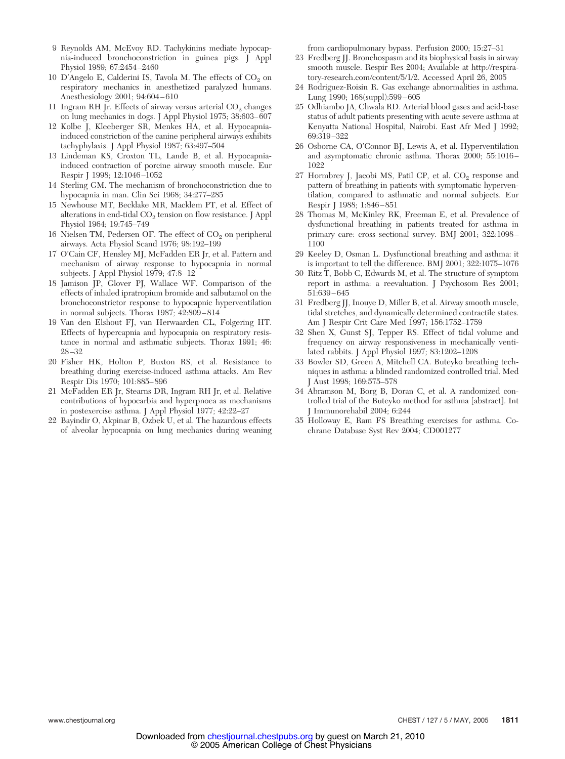- 9 Reynolds AM, McEvoy RD. Tachykinins mediate hypocapnia-induced bronchoconstriction in guinea pigs. J Appl Physiol 1989; 67:2454 –2460
- 10 D'Angelo E, Calderini IS, Tavola M. The effects of CO<sub>2</sub> on respiratory mechanics in anesthetized paralyzed humans. Anesthesiology 2001; 94:604 – 610
- 11 Ingram RH Jr. Effects of airway versus arterial  $CO<sub>2</sub>$  changes on lung mechanics in dogs. J Appl Physiol 1975; 38:603– 607
- 12 Kolbe J, Kleeberger SR, Menkes HA, et al. Hypocapniainduced constriction of the canine peripheral airways exhibits tachyphylaxis. J Appl Physiol 1987; 63:497–504
- 13 Lindeman KS, Croxton TL, Lande B, et al. Hypocapniainduced contraction of porcine airway smooth muscle. Eur Respir J 1998; 12:1046 –1052
- 14 Sterling GM. The mechanism of bronchoconstriction due to hypocapnia in man. Clin Sci 1968; 34:277–285
- 15 Newhouse MT, Becklake MR, Macklem PT, et al. Effect of alterations in end-tidal  $CO<sub>2</sub>$  tension on flow resistance. J Appl Physiol 1964; 19:745–749
- 16 Nielsen TM, Pedersen OF. The effect of  $CO<sub>2</sub>$  on peripheral airways. Acta Physiol Scand 1976; 98:192–199
- 17 O'Cain CF, Hensley MJ, McFadden ER Jr, et al. Pattern and mechanism of airway response to hypocapnia in normal subjects. J Appl Physiol 1979; 47:8-12
- 18 Jamison JP, Glover PJ, Wallace WF. Comparison of the effects of inhaled ipratropium bromide and salbutamol on the bronchoconstrictor response to hypocapnic hyperventilation in normal subjects. Thorax 1987; 42:809 – 814
- 19 Van den Elshout FJ, van Herwaarden CL, Folgering HT. Effects of hypercapnia and hypocapnia on respiratory resistance in normal and asthmatic subjects. Thorax 1991; 46: 28 –32
- 20 Fisher HK, Holton P, Buxton RS, et al. Resistance to breathing during exercise-induced asthma attacks. Am Rev Respir Dis 1970; 101:885– 896
- 21 McFadden ER Jr, Stearns DR, Ingram RH Jr, et al. Relative contributions of hypocarbia and hyperpnoea as mechanisms in postexercise asthma. J Appl Physiol 1977; 42:22–27
- 22 Bayindir O, Akpinar B, Ozbek U, et al. The hazardous effects of alveolar hypocapnia on lung mechanics during weaning

from cardiopulmonary bypass. Perfusion 2000; 15:27–31

- 23 Fredberg JJ. Bronchospasm and its biophysical basis in airway smooth muscle. Respir Res 2004; Available at http://respiratory-research.com/content/5/1/2. Accessed April 26, 2005
- 24 Rodriguez-Roisin R. Gas exchange abnormalities in asthma. Lung 1990; 168(suppl):599 – 605
- 25 Odhiambo JA, Chwala RD. Arterial blood gases and acid-base status of adult patients presenting with acute severe asthma at Kenyatta National Hospital, Nairobi. East Afr Med J 1992; 69:319 –322
- 26 Osborne CA, O'Connor BJ, Lewis A, et al. Hyperventilation and asymptomatic chronic asthma. Thorax 2000; 55:1016 – 1022
- 27 Hormbrey J, Jacobi MS, Patil CP, et al. CO<sub>2</sub> response and pattern of breathing in patients with symptomatic hyperventilation, compared to asthmatic and normal subjects. Eur Respir J 1988; 1:846 – 851
- 28 Thomas M, McKinley RK, Freeman E, et al. Prevalence of dysfunctional breathing in patients treated for asthma in primary care: cross sectional survey. BMJ 2001; 322:1098 – 1100
- 29 Keeley D, Osman L. Dysfunctional breathing and asthma: it is important to tell the difference. BMJ 2001; 322:1075–1076
- 30 Ritz T, Bobb C, Edwards M, et al. The structure of symptom report in asthma: a reevaluation. J Psychosom Res 2001; 51:639 – 645
- 31 Fredberg JJ, Inouye D, Miller B, et al. Airway smooth muscle, tidal stretches, and dynamically determined contractile states. Am J Respir Crit Care Med 1997; 156:1752–1759
- 32 Shen X, Gunst SJ, Tepper RS. Effect of tidal volume and frequency on airway responsiveness in mechanically ventilated rabbits. J Appl Physiol 1997; 83:1202–1208
- 33 Bowler SD, Green A, Mitchell CA. Buteyko breathing techniques in asthma: a blinded randomized controlled trial. Med J Aust 1998; 169:575–578
- 34 Abramson M, Borg B, Doran C, et al. A randomized controlled trial of the Buteyko method for asthma [abstract]. Int J Immunorehabil 2004; 6:244
- 35 Holloway E, Ram FS Breathing exercises for asthma. Cochrane Database Syst Rev 2004; CD001277